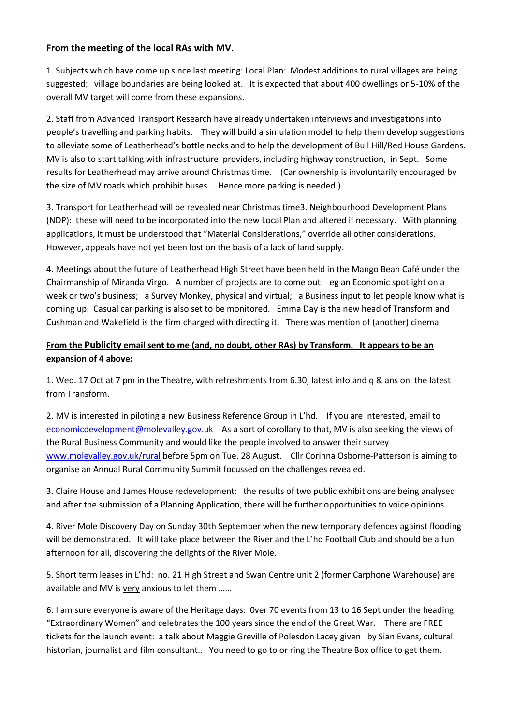## **From the meeting of the local RAs with MV.**

1. Subjects which have come up since last meeting: Local Plan: Modest additions to rural villages are being suggested; village boundaries are being looked at. It is expected that about 400 dwellings or 5-10% of the overall MV target will come from these expansions.

2. Staff from Advanced Transport Research have already undertaken interviews and investigations into people's travelling and parking habits. They will build a simulation model to help them develop suggestions to alleviate some of Leatherhead's bottle necks and to help the development of Bull Hill/Red House Gardens. MV is also to start talking with infrastructure providers, including highway construction, in Sept. Some results for Leatherhead may arrive around Christmas time. (Car ownership is involuntarily encouraged by the size of MV roads which prohibit buses. Hence more parking is needed.)

3. Transport for Leatherhead will be revealed near Christmas time3. Neighbourhood Development Plans (NDP): these will need to be incorporated into the new Local Plan and altered if necessary. With planning applications, it must be understood that "Material Considerations," override all other considerations. However, appeals have not yet been lost on the basis of a lack of land supply.

4. Meetings about the future of Leatherhead High Street have been held in the Mango Bean Café under the Chairmanship of Miranda Virgo. A number of projects are to come out: eg an Economic spotlight on a week or two's business; a Survey Monkey, physical and virtual; a Business input to let people know what is coming up. Casual car parking is also set to be monitored. Emma Day is the new head of Transform and Cushman and Wakefield is the firm charged with directing it. There was mention of (another) cinema.

## **From the Publicity email sent to me (and, no doubt, other RAs) by Transform. It appears to be an expansion of 4 above:**

1. Wed. 17 Oct at 7 pm in the Theatre, with refreshments from 6.30, latest info and q & ans on the latest from Transform.

2. MV is interested in piloting a new Business Reference Group in L'hd. If you are interested, email to [economicdevelopment@molevalley.gov.uk](mailto:economicdevelopment@molevalley.gov.uk) As a sort of corollary to that, MV is also seeking the views of the Rural Business Community and would like the people involved to answer their survey [www.molevalley.gov.uk/rural](http://www.molevalley.gov.uk/rural) before 5pm on Tue. 28 August. Cllr Corinna Osborne-Patterson is aiming to organise an Annual Rural Community Summit focussed on the challenges revealed.

3. Claire House and James House redevelopment: the results of two public exhibitions are being analysed and after the submission of a Planning Application, there will be further opportunities to voice opinions.

4. River Mole Discovery Day on Sunday 30th September when the new temporary defences against flooding will be demonstrated. It will take place between the River and the L'hd Football Club and should be a fun afternoon for all, discovering the delights of the River Mole.

5. Short term leases in L'hd: no. 21 High Street and Swan Centre unit 2 (former Carphone Warehouse) are available and MV is very anxious to let them ……

6. I am sure everyone is aware of the Heritage days: 0ver 70 events from 13 to 16 Sept under the heading "Extraordinary Women" and celebrates the 100 years since the end of the Great War. There are FREE tickets for the launch event: a talk about Maggie Greville of Polesdon Lacey given by Sian Evans, cultural historian, journalist and film consultant.. You need to go to or ring the Theatre Box office to get them.